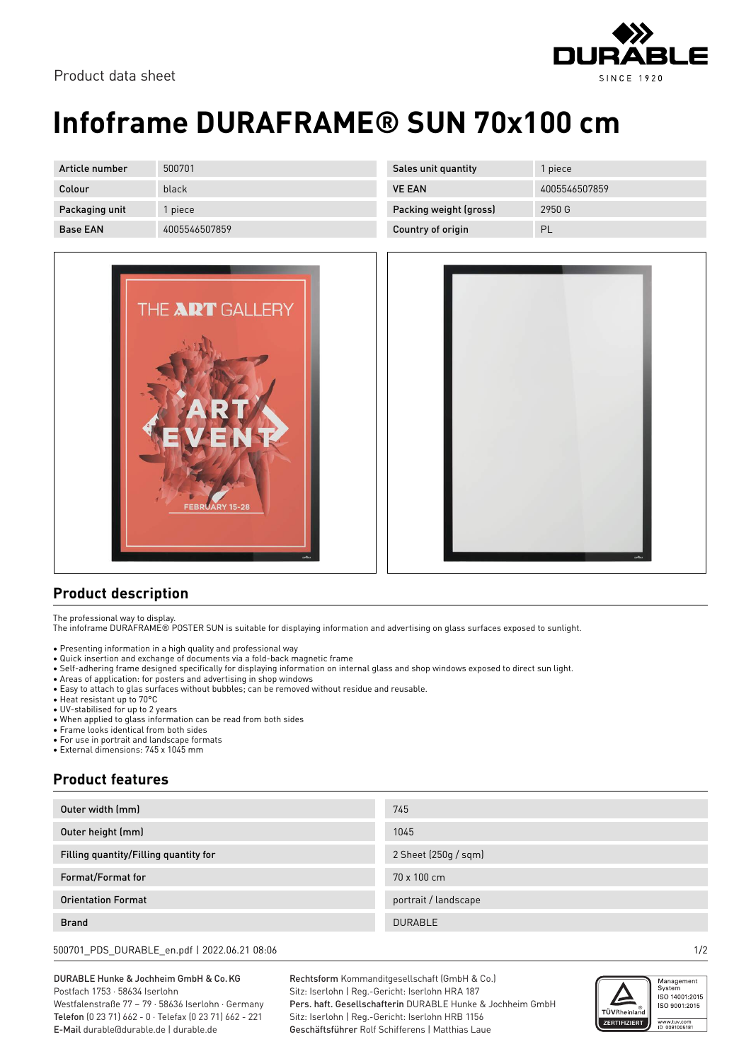



## **Infoframe DURAFRAME® SUN 70x100 cm**

| Article number  | 500701        |
|-----------------|---------------|
| Colour          | black         |
| Packaging unit  | 1 piece       |
| <b>Base EAN</b> | 4005546507859 |



| Sales unit quantity    | 1 piece       |
|------------------------|---------------|
| <b>VE FAN</b>          | 4005546507859 |
| Packing weight (gross) | 2950 G        |
| Country of origin      | ΡL            |



## **Product description**

The professional way to display.

The infoframe DURAFRAME® POSTER SUN is suitable for displaying information and advertising on glass surfaces exposed to sunlight.

- Presenting information in a high quality and professional way
- Quick insertion and exchange of documents via a fold-back magnetic frame
- Self-adhering frame designed specifically for displaying information on internal glass and shop windows exposed to direct sun light.
- Areas of application: for posters and advertising in shop windows
- Easy to attach to glas surfaces without bubbles; can be removed without residue and reusable.
- Heat resistant up to 70°C
- UV-stabilised for up to 2 years
- When applied to glass information can be read from both sides
- Frame looks identical from both sides
- For use in portrait and landscape formats
- External dimensions: 745 x 1045 mm

## **Product features**

| Outer width (mm)                      | 745                  |
|---------------------------------------|----------------------|
| Outer height (mm)                     | 1045                 |
| Filling quantity/Filling quantity for | 2 Sheet (250g / sqm) |
| Format/Format for                     | 70 x 100 cm          |
| <b>Orientation Format</b>             | portrait / landscape |
| <b>Brand</b>                          | <b>DURABLE</b>       |
|                                       |                      |

500701\_PDS\_DURABLE\_en.pdf | 2022.06.21 08:06 1/2

DURABLE Hunke & Jochheim GmbH & Co.KG Postfach 1753 · 58634 Iserlohn Westfalenstraße 77 – 79 · 58636 Iserlohn · Germany Telefon (0 23 71) 662 - 0 · Telefax (0 23 71) 662 - 221

E-Mail durable@durable.de | durable.de

Rechtsform Kommanditgesellschaft (GmbH & Co.) Sitz: Iserlohn | Reg.-Gericht: Iserlohn HRA 187 Pers. haft. Gesellschafterin DURABLE Hunke & Jochheim GmbH Sitz: Iserlohn | Reg.-Gericht: Iserlohn HRB 1156 Geschäftsführer Rolf Schifferens | Matthias Laue